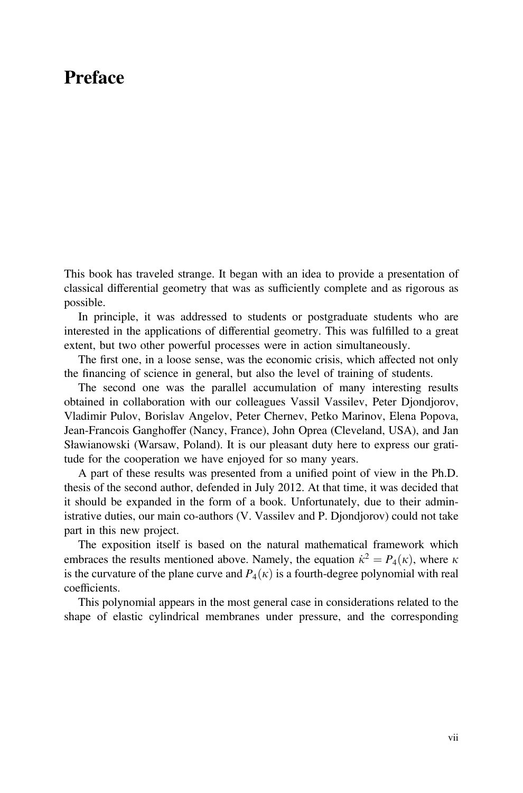## Preface

This book has traveled strange. It began with an idea to provide a presentation of classical differential geometry that was as sufficiently complete and as rigorous as possible.

In principle, it was addressed to students or postgraduate students who are interested in the applications of differential geometry. This was fulfilled to a great extent, but two other powerful processes were in action simultaneously.

The first one, in a loose sense, was the economic crisis, which affected not only the financing of science in general, but also the level of training of students.

The second one was the parallel accumulation of many interesting results obtained in collaboration with our colleagues Vassil Vassilev, Peter Djondjorov, Vladimir Pulov, Borislav Angelov, Peter Chernev, Petko Marinov, Elena Popova, Jean-Francois Ganghoffer (Nancy, France), John Oprea (Cleveland, USA), and Jan Sławianowski (Warsaw, Poland). It is our pleasant duty here to express our gratitude for the cooperation we have enjoyed for so many years.

A part of these results was presented from a unified point of view in the Ph.D. thesis of the second author, defended in July 2012. At that time, it was decided that it should be expanded in the form of a book. Unfortunately, due to their administrative duties, our main co-authors (V. Vassilev and P. Djondjorov) could not take part in this new project.

The exposition itself is based on the natural mathematical framework which embraces the results mentioned above. Namely, the equation  $\dot{\kappa}^2 = P_4(\kappa)$ , where  $\kappa$ is the curvature of the plane curve and  $P_4(\kappa)$  is a fourth-degree polynomial with real coefficients.

This polynomial appears in the most general case in considerations related to the shape of elastic cylindrical membranes under pressure, and the corresponding